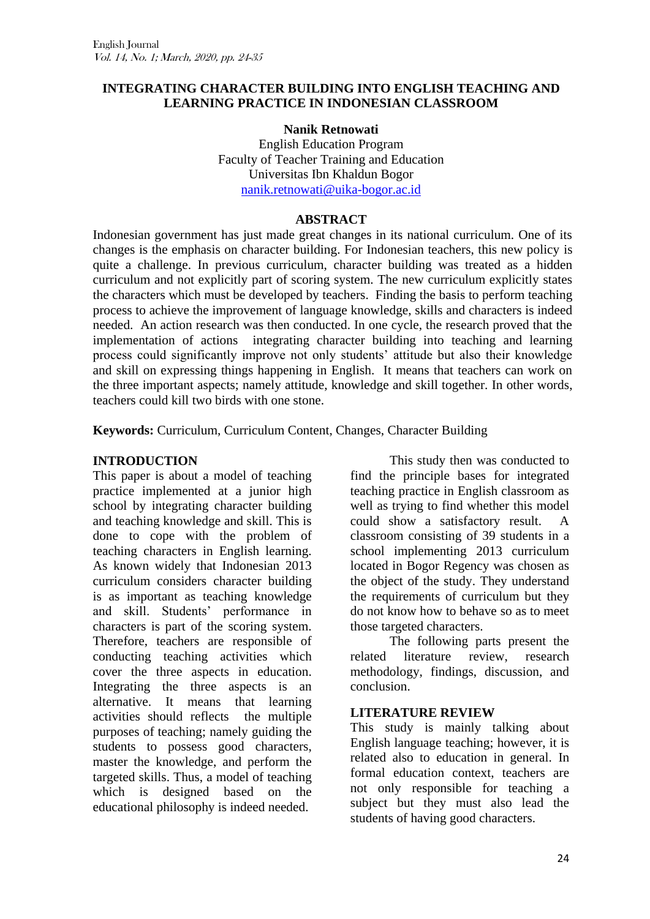### **INTEGRATING CHARACTER BUILDING INTO ENGLISH TEACHING AND LEARNING PRACTICE IN INDONESIAN CLASSROOM**

### **Nanik Retnowati**

English Education Program Faculty of Teacher Training and Education Universitas Ibn Khaldun Bogor [nanik.retnowati@uika-bogor.ac.id](mailto:nanik.retnowati@uika-bogor.ac.id)

#### **ABSTRACT**

Indonesian government has just made great changes in its national curriculum. One of its changes is the emphasis on character building. For Indonesian teachers, this new policy is quite a challenge. In previous curriculum, character building was treated as a hidden curriculum and not explicitly part of scoring system. The new curriculum explicitly states the characters which must be developed by teachers. Finding the basis to perform teaching process to achieve the improvement of language knowledge, skills and characters is indeed needed. An action research was then conducted. In one cycle, the research proved that the implementation of actions integrating character building into teaching and learning process could significantly improve not only students" attitude but also their knowledge and skill on expressing things happening in English. It means that teachers can work on the three important aspects; namely attitude, knowledge and skill together. In other words, teachers could kill two birds with one stone.

**Keywords:** Curriculum, Curriculum Content, Changes, Character Building

### **INTRODUCTION**

This paper is about a model of teaching practice implemented at a junior high school by integrating character building and teaching knowledge and skill. This is done to cope with the problem of teaching characters in English learning. As known widely that Indonesian 2013 curriculum considers character building is as important as teaching knowledge and skill. Students" performance in characters is part of the scoring system. Therefore, teachers are responsible of conducting teaching activities which cover the three aspects in education. Integrating the three aspects is an alternative. It means that learning activities should reflects the multiple purposes of teaching; namely guiding the students to possess good characters, master the knowledge, and perform the targeted skills. Thus, a model of teaching which is designed based on the educational philosophy is indeed needed.

This study then was conducted to find the principle bases for integrated teaching practice in English classroom as well as trying to find whether this model could show a satisfactory result. A classroom consisting of 39 students in a school implementing 2013 curriculum located in Bogor Regency was chosen as the object of the study. They understand the requirements of curriculum but they do not know how to behave so as to meet those targeted characters.

The following parts present the related literature review, research methodology, findings, discussion, and conclusion.

### **LITERATURE REVIEW**

This study is mainly talking about English language teaching; however, it is related also to education in general. In formal education context, teachers are not only responsible for teaching a subject but they must also lead the students of having good characters.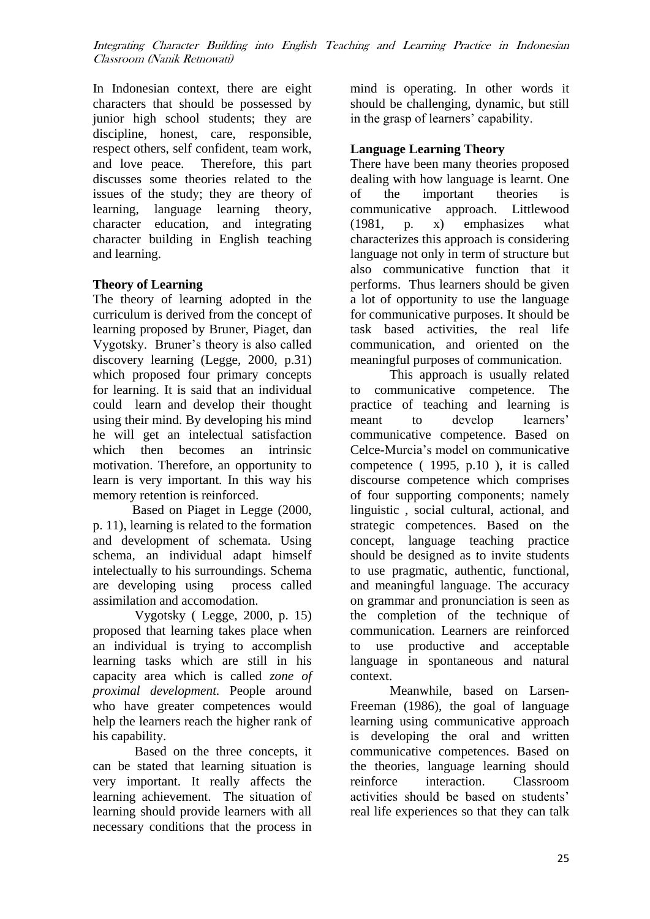In Indonesian context, there are eight characters that should be possessed by junior high school students; they are discipline, honest, care, responsible, respect others, self confident, team work, and love peace. Therefore, this part discusses some theories related to the issues of the study; they are theory of learning, language learning theory, character education, and integrating character building in English teaching and learning.

### **Theory of Learning**

The theory of learning adopted in the curriculum is derived from the concept of learning proposed by Bruner, Piaget, dan Vygotsky. Bruner"s theory is also called discovery learning (Legge, 2000, p.31) which proposed four primary concepts for learning. It is said that an individual could learn and develop their thought using their mind. By developing his mind he will get an intelectual satisfaction which then becomes an intrinsic motivation. Therefore, an opportunity to learn is very important. In this way his memory retention is reinforced.

Based on Piaget in Legge (2000, p. 11), learning is related to the formation and development of schemata. Using schema, an individual adapt himself intelectually to his surroundings. Schema are developing using process called assimilation and accomodation.

Vygotsky ( Legge, 2000, p. 15) proposed that learning takes place when an individual is trying to accomplish learning tasks which are still in his capacity area which is called *zone of proximal development.* People around who have greater competences would help the learners reach the higher rank of his capability.

Based on the three concepts, it can be stated that learning situation is very important. It really affects the learning achievement. The situation of learning should provide learners with all necessary conditions that the process in

mind is operating. In other words it should be challenging, dynamic, but still in the grasp of learners' capability.

## **Language Learning Theory**

There have been many theories proposed dealing with how language is learnt. One of the important theories is communicative approach. Littlewood (1981, p. x) emphasizes what characterizes this approach is considering language not only in term of structure but also communicative function that it performs. Thus learners should be given a lot of opportunity to use the language for communicative purposes. It should be task based activities, the real life communication, and oriented on the meaningful purposes of communication.

This approach is usually related to communicative competence. The practice of teaching and learning is meant to develop learners' communicative competence. Based on Celce-Murcia"s model on communicative competence ( 1995, p.10 ), it is called discourse competence which comprises of four supporting components; namely linguistic , social cultural, actional, and strategic competences. Based on the concept, language teaching practice should be designed as to invite students to use pragmatic, authentic, functional, and meaningful language. The accuracy on grammar and pronunciation is seen as the completion of the technique of communication. Learners are reinforced to use productive and acceptable language in spontaneous and natural context.

Meanwhile, based on Larsen-Freeman (1986), the goal of language learning using communicative approach is developing the oral and written communicative competences. Based on the theories, language learning should reinforce interaction. Classroom activities should be based on students" real life experiences so that they can talk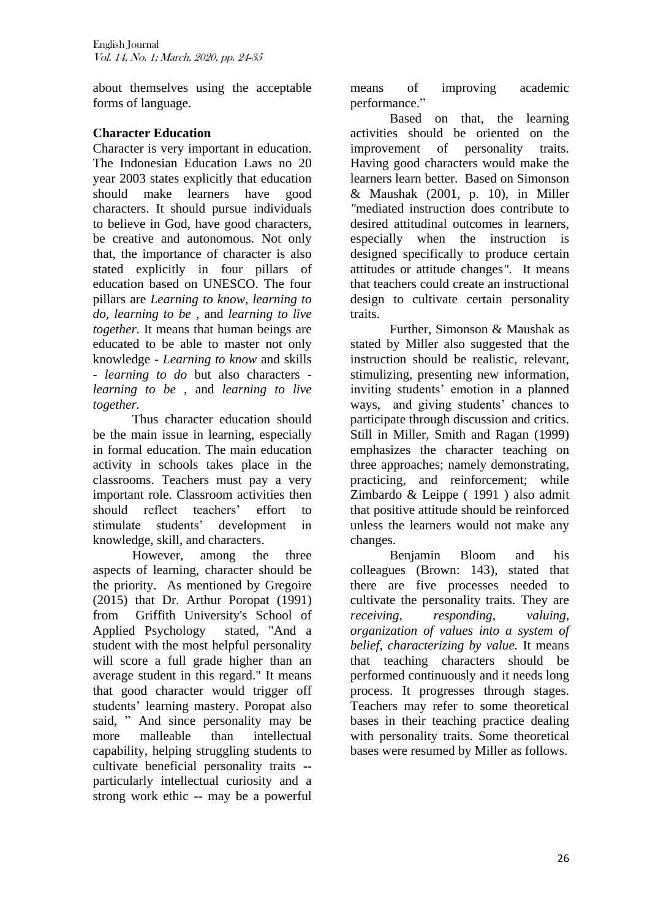about themselves using the acceptable forms of language.

## **Character Education**

Character is very important in education. The Indonesian Education Laws no 20 year 2003 states explicitly that education should make learners have good characters. It should pursue individuals to believe in God, have good characters, be creative and autonomous. Not only that, the importance of character is also stated explicitly in four pillars of education based on UNESCO. The four pillars are *Learning to know, learning to do, learning to be ,* and *learning to live together.* It means that human beings are educated to be able to master not only knowledge - *Learning to know* and skills - *learning to do* but also characters *learning to be ,* and *learning to live together.*

Thus character education should be the main issue in learning, especially in formal education. The main education activity in schools takes place in the classrooms. Teachers must pay a very important role. Classroom activities then should reflect teachers' effort to stimulate students" development in knowledge, skill, and characters.

However, among the three aspects of learning, character should be the priority. As mentioned by Gregoire (2015) that Dr. Arthur Poropat (1991) from Griffith University's School of Applied Psychology stated, "And a student with the most helpful personality will score a full grade higher than an average student in this regard." It means that good character would trigger off students" learning mastery. Poropat also said, " And since personality may be more malleable than intellectual capability, helping struggling students to cultivate beneficial personality traits - particularly intellectual curiosity and a strong work ethic -- may be a powerful means of improving academic performance."

Based on that, the learning activities should be oriented on the improvement of personality traits. Having good characters would make the learners learn better. Based on Simonson & Maushak (2001, p. 10), in Miller *"*mediated instruction does contribute to desired attitudinal outcomes in learners, especially when the instruction is designed specifically to produce certain attitudes or attitude changes*"*. It means that teachers could create an instructional design to cultivate certain personality traits.

Further, Simonson & Maushak as stated by Miller also suggested that the instruction should be realistic, relevant, stimulizing, presenting new information, inviting students" emotion in a planned ways, and giving students' chances to participate through discussion and critics. Still in Miller, Smith and Ragan (1999) emphasizes the character teaching on three approaches; namely demonstrating, practicing, and reinforcement; while Zimbardo & Leippe ( 1991 ) also admit that positive attitude should be reinforced unless the learners would not make any changes.

Benjamin Bloom and his colleagues (Brown: 143), stated that there are five processes needed to cultivate the personality traits. They are *receiving, responding*, *valuing*, *organization of values into a system of belief*, *characterizing by value.* It means that teaching characters should be performed continuously and it needs long process. It progresses through stages. Teachers may refer to some theoretical bases in their teaching practice dealing with personality traits. Some theoretical bases were resumed by Miller as follows.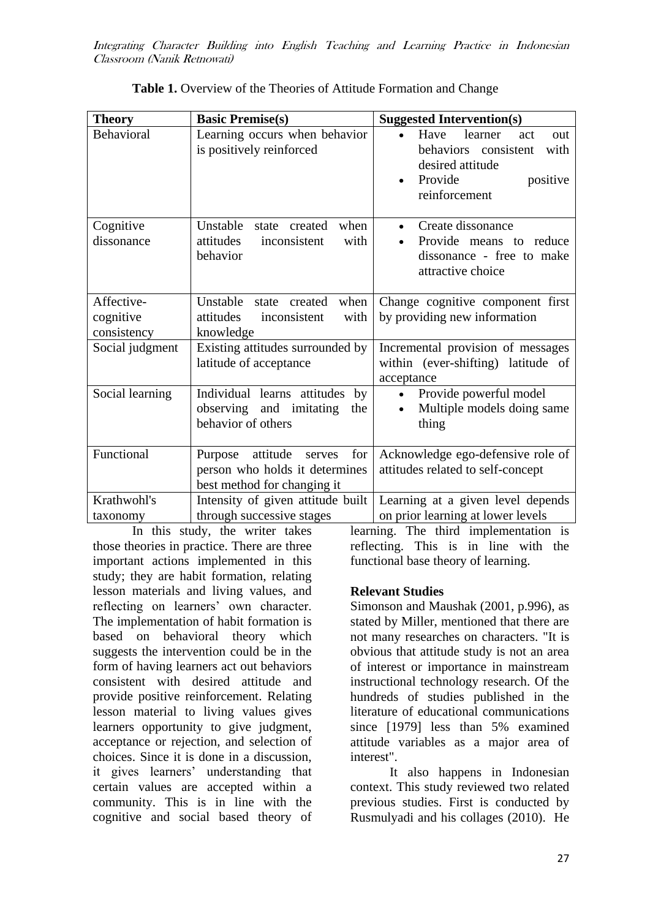| <b>Theory</b>                          | <b>Basic Premise(s)</b>                                                                               | <b>Suggested Intervention(s)</b>                                                                                          |  |  |
|----------------------------------------|-------------------------------------------------------------------------------------------------------|---------------------------------------------------------------------------------------------------------------------------|--|--|
| Behavioral                             | Learning occurs when behavior<br>is positively reinforced                                             | Have<br>learner<br>act<br>out<br>behaviors consistent<br>with<br>desired attitude<br>Provide<br>positive<br>reinforcement |  |  |
| Cognitive<br>dissonance                | Unstable<br>when<br>state created<br>attitudes<br>inconsistent<br>with<br>behavior                    | Create dissonance<br>Provide means to reduce<br>dissonance - free to make<br>attractive choice                            |  |  |
| Affective-<br>cognitive<br>consistency | Unstable<br>when<br>state created<br>attitudes<br>inconsistent<br>with<br>knowledge                   | Change cognitive component first<br>by providing new information                                                          |  |  |
| Social judgment                        | Existing attitudes surrounded by<br>latitude of acceptance                                            | Incremental provision of messages<br>within (ever-shifting) latitude of<br>acceptance                                     |  |  |
| Social learning                        | Individual learns attitudes<br>by<br>observing and imitating<br>the<br>behavior of others             | Provide powerful model<br>$\bullet$<br>Multiple models doing same<br>thing                                                |  |  |
| Functional                             | attitude<br>for<br>Purpose<br>serves<br>person who holds it determines<br>best method for changing it | Acknowledge ego-defensive role of<br>attitudes related to self-concept                                                    |  |  |
| Krathwohl's<br>taxonomy                | Intensity of given attitude built<br>through successive stages                                        | Learning at a given level depends<br>on prior learning at lower levels                                                    |  |  |

**Table 1.** Overview of the Theories of Attitude Formation and Change

In this study, the writer takes those theories in practice. There are three important actions implemented in this study; they are habit formation, relating lesson materials and living values, and reflecting on learners' own character. The implementation of habit formation is based on behavioral theory which suggests the intervention could be in the form of having learners act out behaviors consistent with desired attitude and provide positive reinforcement. Relating lesson material to living values gives learners opportunity to give judgment, acceptance or rejection, and selection of choices. Since it is done in a discussion, it gives learners" understanding that certain values are accepted within a community. This is in line with the cognitive and social based theory of

learning. The third implementation is reflecting. This is in line with the functional base theory of learning.

### **Relevant Studies**

Simonson and Maushak (2001, p.996), as stated by Miller, mentioned that there are not many researches on characters. "It is obvious that attitude study is not an area of interest or importance in mainstream instructional technology research. Of the hundreds of studies published in the literature of educational communications since [1979] less than 5% examined attitude variables as a major area of interest".

It also happens in Indonesian context. This study reviewed two related previous studies. First is conducted by Rusmulyadi and his collages (2010). He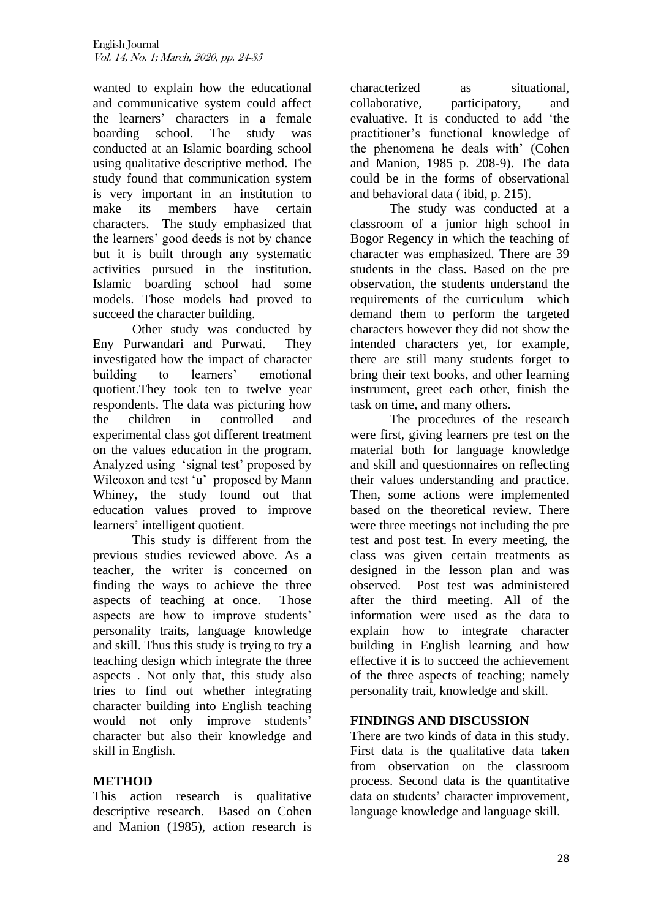wanted to explain how the educational and communicative system could affect the learners" characters in a female boarding school. The study was conducted at an Islamic boarding school using qualitative descriptive method. The study found that communication system is very important in an institution to make its members have certain characters. The study emphasized that the learners" good deeds is not by chance but it is built through any systematic activities pursued in the institution. Islamic boarding school had some models. Those models had proved to succeed the character building.

Other study was conducted by Eny Purwandari and Purwati. They investigated how the impact of character building to learners' emotional quotient.They took ten to twelve year respondents. The data was picturing how the children in controlled and experimental class got different treatment on the values education in the program. Analyzed using 'signal test' proposed by Wilcoxon and test 'u' proposed by Mann Whiney, the study found out that education values proved to improve learners' intelligent quotient.

This study is different from the previous studies reviewed above. As a teacher, the writer is concerned on finding the ways to achieve the three aspects of teaching at once. Those aspects are how to improve students' personality traits, language knowledge and skill. Thus this study is trying to try a teaching design which integrate the three aspects . Not only that, this study also tries to find out whether integrating character building into English teaching would not only improve students' character but also their knowledge and skill in English.

# **METHOD**

This action research is qualitative descriptive research. Based on Cohen and Manion (1985), action research is characterized as situational, collaborative, participatory, and evaluative. It is conducted to add "the practitioner"s functional knowledge of the phenomena he deals with' (Cohen and Manion, 1985 p. 208-9). The data could be in the forms of observational and behavioral data ( ibid, p. 215).

The study was conducted at a classroom of a junior high school in Bogor Regency in which the teaching of character was emphasized. There are 39 students in the class. Based on the pre observation, the students understand the requirements of the curriculum which demand them to perform the targeted characters however they did not show the intended characters yet, for example, there are still many students forget to bring their text books, and other learning instrument, greet each other, finish the task on time, and many others.

The procedures of the research were first, giving learners pre test on the material both for language knowledge and skill and questionnaires on reflecting their values understanding and practice. Then, some actions were implemented based on the theoretical review. There were three meetings not including the pre test and post test. In every meeting, the class was given certain treatments as designed in the lesson plan and was observed. Post test was administered after the third meeting. All of the information were used as the data to explain how to integrate character building in English learning and how effective it is to succeed the achievement of the three aspects of teaching; namely personality trait, knowledge and skill.

## **FINDINGS AND DISCUSSION**

There are two kinds of data in this study. First data is the qualitative data taken from observation on the classroom process. Second data is the quantitative data on students' character improvement, language knowledge and language skill.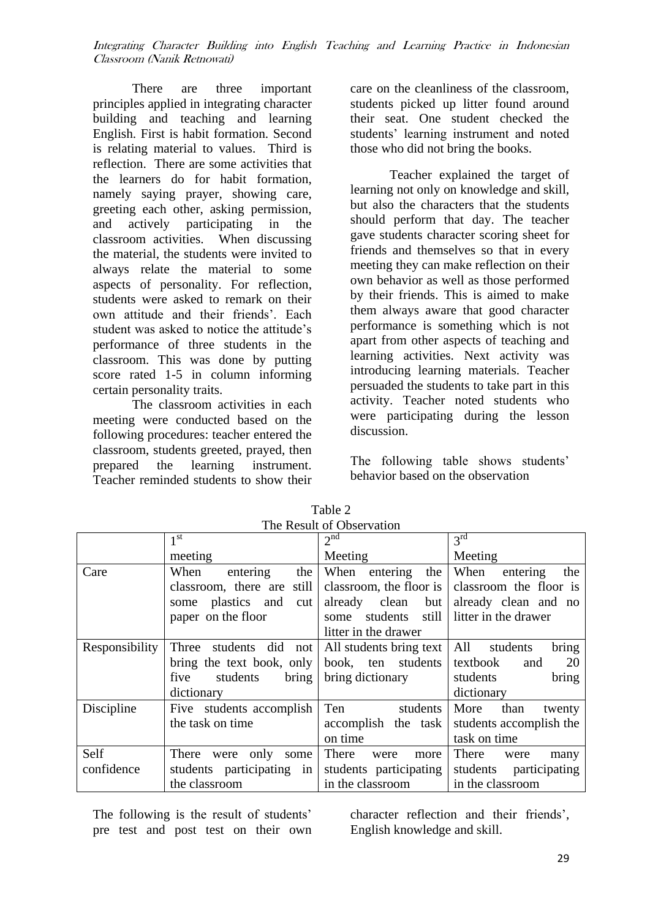There are three important principles applied in integrating character building and teaching and learning English. First is habit formation. Second is relating material to values. Third is reflection. There are some activities that the learners do for habit formation, namely saying prayer, showing care, greeting each other, asking permission, and actively participating in the classroom activities. When discussing the material, the students were invited to always relate the material to some aspects of personality. For reflection, students were asked to remark on their own attitude and their friends'. Each student was asked to notice the attitude's performance of three students in the classroom. This was done by putting score rated 1-5 in column informing certain personality traits.

The classroom activities in each meeting were conducted based on the following procedures: teacher entered the classroom, students greeted, prayed, then prepared the learning instrument. Teacher reminded students to show their

care on the cleanliness of the classroom, students picked up litter found around their seat. One student checked the students" learning instrument and noted those who did not bring the books.

Teacher explained the target of learning not only on knowledge and skill, but also the characters that the students should perform that day. The teacher gave students character scoring sheet for friends and themselves so that in every meeting they can make reflection on their own behavior as well as those performed by their friends. This is aimed to make them always aware that good character performance is something which is not apart from other aspects of teaching and learning activities. Next activity was introducing learning materials. Teacher persuaded the students to take part in this activity. Teacher noted students who were participating during the lesson discussion.

The following table shows students' behavior based on the observation

|                | $1^{\rm st}$                                     | 2 <sup>nd</sup>           | 3 <sup>rd</sup>           |
|----------------|--------------------------------------------------|---------------------------|---------------------------|
|                | meeting                                          | Meeting                   | Meeting                   |
| Care           | When<br>the<br>entering                          | When<br>the<br>entering   | When<br>entering<br>the   |
|                | still<br>classroom, there are                    | classroom, the floor is   | classroom the floor is    |
|                | plastics and<br>cut<br>some                      | already clean<br>but      | already clean and no      |
|                | paper on the floor                               | students<br>still<br>some | litter in the drawer      |
|                |                                                  | litter in the drawer      |                           |
| Responsibility | Three students did not   All students bring text |                           | All<br>students<br>bring  |
|                | bring the text book, only book, ten students     |                           | 20<br>textbook<br>and     |
|                | students<br>bring<br>five                        | bring dictionary          | bring<br>students         |
|                | dictionary                                       |                           | dictionary                |
| Discipline     | Five students accomplish                         | Ten<br>students           | More<br>than<br>twenty    |
|                | the task on time                                 | accomplish the task       | students accomplish the   |
|                |                                                  | on time                   | task on time              |
| Self           | only<br>There<br>were<br>some                    | There<br>were<br>more     | There<br>were<br>many     |
| confidence     | students participating in                        | students participating    | students<br>participating |
|                | the classroom                                    | in the classroom          | in the classroom          |

Table 2 The Result of Observation

The following is the result of students' pre test and post test on their own character reflection and their friends", English knowledge and skill.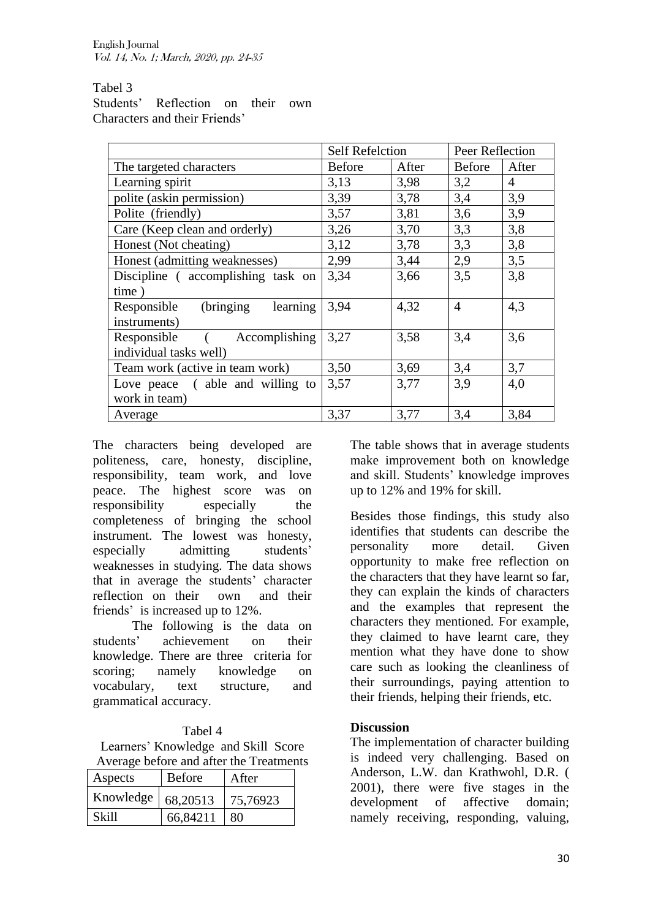### Tabel 3

Students" Reflection on their own Characters and their Friends"

|                                       | <b>Self Refelction</b> |       | Peer Reflection |                |
|---------------------------------------|------------------------|-------|-----------------|----------------|
| The targeted characters               | <b>Before</b>          | After | Before          | After          |
| Learning spirit                       | 3,13                   | 3,98  | 3,2             | $\overline{4}$ |
| polite (askin permission)             | 3,39                   | 3,78  | 3,4             | 3,9            |
| Polite (friendly)                     | 3,57                   | 3,81  | 3,6             | 3,9            |
| Care (Keep clean and orderly)         | 3,26                   | 3,70  | 3,3             | 3,8            |
| Honest (Not cheating)                 | 3,12                   | 3,78  | 3,3             | 3,8            |
| Honest (admitting weaknesses)         | 2,99                   | 3,44  | 2,9             | 3,5            |
| Discipline (accomplishing task on     | 3,34                   | 3,66  | 3,5             | 3,8            |
| time)                                 |                        |       |                 |                |
| (bringing)<br>learning<br>Responsible | 3,94                   | 4,32  | $\overline{4}$  | 4,3            |
| instruments)                          |                        |       |                 |                |
| Responsible ( Accomplishing           | 3,27                   | 3,58  | 3,4             | 3,6            |
| individual tasks well)                |                        |       |                 |                |
| Team work (active in team work)       | 3,50                   | 3,69  | 3,4             | 3,7            |
| Love peace (able and willing to       | 3,57                   | 3,77  | 3,9             | 4,0            |
| work in team)                         |                        |       |                 |                |
| Average                               | 3,37                   | 3,77  | 3,4             | 3,84           |

The characters being developed are politeness, care, honesty, discipline, responsibility, team work, and love peace. The highest score was on responsibility especially the completeness of bringing the school instrument. The lowest was honesty, especially admitting students' weaknesses in studying. The data shows that in average the students' character reflection on their own and their friends' is increased up to 12%.

The following is the data on students" achievement on their knowledge. There are three criteria for scoring; namely knowledge on vocabulary, text structure, and grammatical accuracy.

## Tabel 4

Learners" Knowledge and Skill Score Average before and after the Treatments

| Aspects   | <b>Before</b> | After    |  |
|-----------|---------------|----------|--|
| Knowledge | 68,20513      | 75,76923 |  |
| Skill     | 66,84211      | 80       |  |

The table shows that in average students make improvement both on knowledge and skill. Students" knowledge improves up to 12% and 19% for skill.

Besides those findings, this study also identifies that students can describe the personality more detail. Given opportunity to make free reflection on the characters that they have learnt so far, they can explain the kinds of characters and the examples that represent the characters they mentioned. For example, they claimed to have learnt care, they mention what they have done to show care such as looking the cleanliness of their surroundings, paying attention to their friends, helping their friends, etc.

### **Discussion**

The implementation of character building is indeed very challenging. Based on Anderson, L.W. dan Krathwohl, D.R. ( 2001), there were five stages in the development of affective domain; namely receiving, responding, valuing,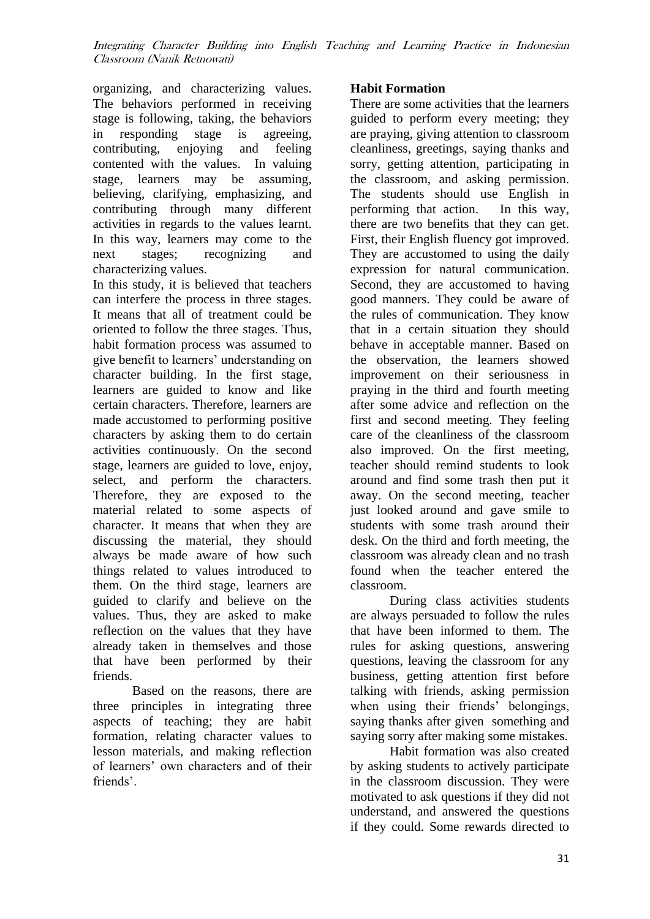organizing, and characterizing values. The behaviors performed in receiving stage is following, taking, the behaviors in responding stage is agreeing, contributing, enjoying and feeling contented with the values. In valuing stage, learners may be assuming, believing, clarifying, emphasizing, and contributing through many different activities in regards to the values learnt. In this way, learners may come to the next stages; recognizing and characterizing values.

In this study, it is believed that teachers can interfere the process in three stages. It means that all of treatment could be oriented to follow the three stages. Thus, habit formation process was assumed to give benefit to learners" understanding on character building. In the first stage, learners are guided to know and like certain characters. Therefore, learners are made accustomed to performing positive characters by asking them to do certain activities continuously. On the second stage, learners are guided to love, enjoy, select, and perform the characters. Therefore, they are exposed to the material related to some aspects of character. It means that when they are discussing the material, they should always be made aware of how such things related to values introduced to them. On the third stage, learners are guided to clarify and believe on the values. Thus, they are asked to make reflection on the values that they have already taken in themselves and those that have been performed by their friends.

Based on the reasons, there are three principles in integrating three aspects of teaching; they are habit formation, relating character values to lesson materials, and making reflection of learners" own characters and of their friends'.

### **Habit Formation**

There are some activities that the learners guided to perform every meeting; they are praying, giving attention to classroom cleanliness, greetings, saying thanks and sorry, getting attention, participating in the classroom, and asking permission. The students should use English in performing that action. In this way, there are two benefits that they can get. First, their English fluency got improved. They are accustomed to using the daily expression for natural communication. Second, they are accustomed to having good manners. They could be aware of the rules of communication. They know that in a certain situation they should behave in acceptable manner. Based on the observation, the learners showed improvement on their seriousness in praying in the third and fourth meeting after some advice and reflection on the first and second meeting. They feeling care of the cleanliness of the classroom also improved. On the first meeting, teacher should remind students to look around and find some trash then put it away. On the second meeting, teacher just looked around and gave smile to students with some trash around their desk. On the third and forth meeting, the classroom was already clean and no trash found when the teacher entered the classroom.

During class activities students are always persuaded to follow the rules that have been informed to them. The rules for asking questions, answering questions, leaving the classroom for any business, getting attention first before talking with friends, asking permission when using their friends' belongings, saying thanks after given something and saying sorry after making some mistakes.

Habit formation was also created by asking students to actively participate in the classroom discussion. They were motivated to ask questions if they did not understand, and answered the questions if they could. Some rewards directed to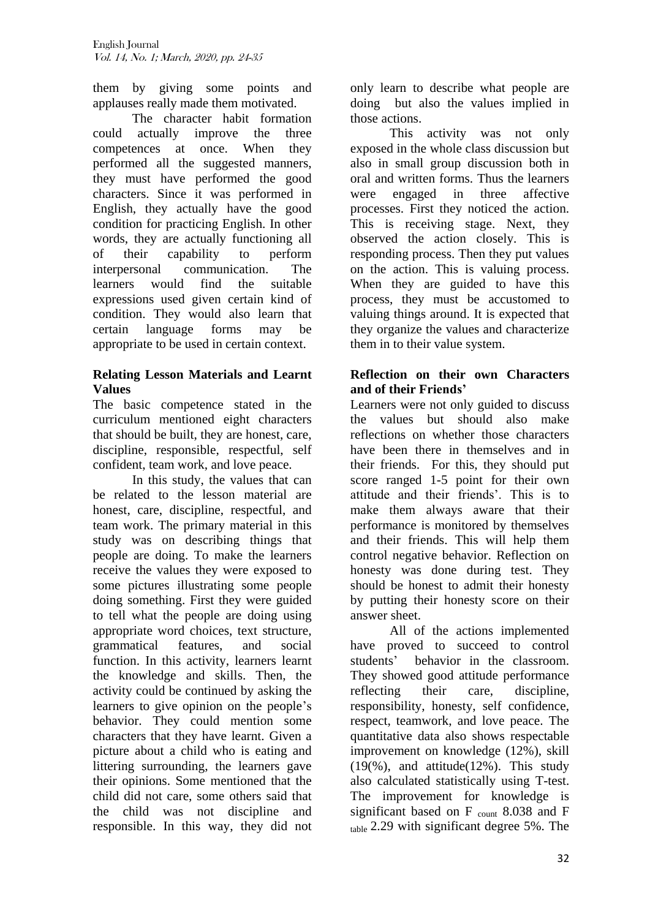them by giving some points and applauses really made them motivated.

The character habit formation could actually improve the three competences at once. When they performed all the suggested manners, they must have performed the good characters. Since it was performed in English, they actually have the good condition for practicing English. In other words, they are actually functioning all of their capability to perform interpersonal communication. The learners would find the suitable expressions used given certain kind of condition. They would also learn that certain language forms may be appropriate to be used in certain context.

## **Relating Lesson Materials and Learnt Values**

The basic competence stated in the curriculum mentioned eight characters that should be built, they are honest, care, discipline, responsible, respectful, self confident, team work, and love peace.

In this study, the values that can be related to the lesson material are honest, care, discipline, respectful, and team work. The primary material in this study was on describing things that people are doing. To make the learners receive the values they were exposed to some pictures illustrating some people doing something. First they were guided to tell what the people are doing using appropriate word choices, text structure, grammatical features, and social function. In this activity, learners learnt the knowledge and skills. Then, the activity could be continued by asking the learners to give opinion on the people's behavior. They could mention some characters that they have learnt. Given a picture about a child who is eating and littering surrounding, the learners gave their opinions. Some mentioned that the child did not care, some others said that the child was not discipline and responsible. In this way, they did not only learn to describe what people are doing but also the values implied in those actions.

This activity was not only exposed in the whole class discussion but also in small group discussion both in oral and written forms. Thus the learners were engaged in three affective processes. First they noticed the action. This is receiving stage. Next, they observed the action closely. This is responding process. Then they put values on the action. This is valuing process. When they are guided to have this process, they must be accustomed to valuing things around. It is expected that they organize the values and characterize them in to their value system.

## **Reflection on their own Characters and of their Friends'**

Learners were not only guided to discuss the values but should also make reflections on whether those characters have been there in themselves and in their friends. For this, they should put score ranged 1-5 point for their own attitude and their friends". This is to make them always aware that their performance is monitored by themselves and their friends. This will help them control negative behavior. Reflection on honesty was done during test. They should be honest to admit their honesty by putting their honesty score on their answer sheet.

All of the actions implemented have proved to succeed to control students" behavior in the classroom. They showed good attitude performance reflecting their care, discipline, responsibility, honesty, self confidence, respect, teamwork, and love peace. The quantitative data also shows respectable improvement on knowledge (12%), skill (19(%), and attitude(12%). This study also calculated statistically using T-test. The improvement for knowledge is significant based on  $F_{\text{count}}$  8.038 and  $F$ table 2.29 with significant degree 5%. The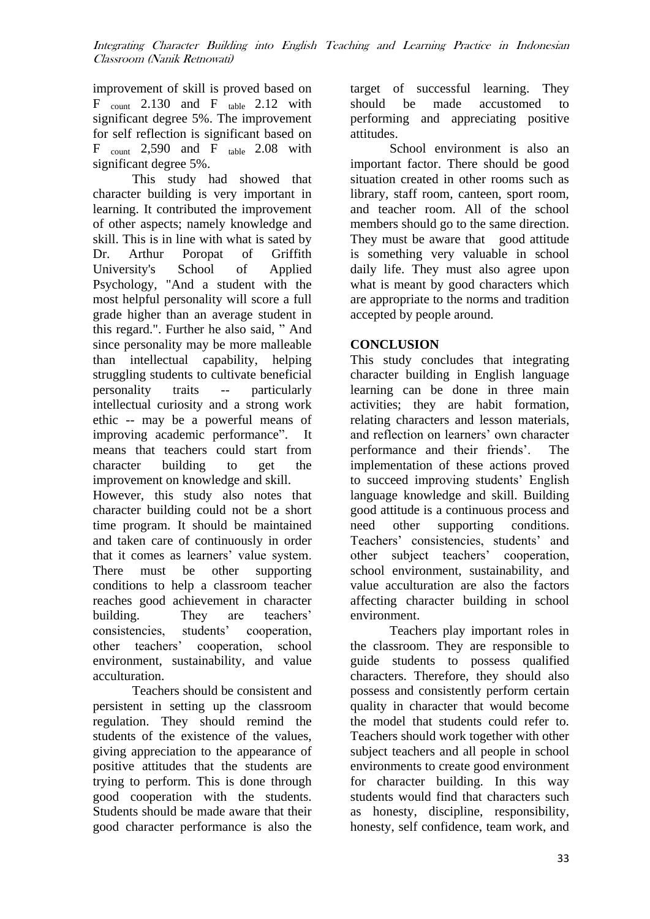improvement of skill is proved based on  $F_{\text{count}}$  2.130 and  $F_{\text{table}}$  2.12 with significant degree 5%. The improvement for self reflection is significant based on  $F_{\text{count}}$  2,590 and  $F_{\text{table}}$  2.08 with significant degree 5%.

This study had showed that character building is very important in learning. It contributed the improvement of other aspects; namely knowledge and skill. This is in line with what is sated by Dr. Arthur Poropat of Griffith University's School of Applied Psychology, "And a student with the most helpful personality will score a full grade higher than an average student in this regard.". Further he also said, " And since personality may be more malleable than intellectual capability, helping struggling students to cultivate beneficial personality traits -- particularly intellectual curiosity and a strong work ethic -- may be a powerful means of improving academic performance". It means that teachers could start from character building to get the improvement on knowledge and skill.

However, this study also notes that character building could not be a short time program. It should be maintained and taken care of continuously in order that it comes as learners' value system. There must be other supporting conditions to help a classroom teacher reaches good achievement in character building. They are teachers' consistencies, students' cooperation, other teachers" cooperation, school environment, sustainability, and value acculturation.

Teachers should be consistent and persistent in setting up the classroom regulation. They should remind the students of the existence of the values, giving appreciation to the appearance of positive attitudes that the students are trying to perform. This is done through good cooperation with the students. Students should be made aware that their good character performance is also the

target of successful learning. They should be made accustomed to performing and appreciating positive attitudes.

School environment is also an important factor. There should be good situation created in other rooms such as library, staff room, canteen, sport room, and teacher room. All of the school members should go to the same direction. They must be aware that good attitude is something very valuable in school daily life. They must also agree upon what is meant by good characters which are appropriate to the norms and tradition accepted by people around.

## **CONCLUSION**

This study concludes that integrating character building in English language learning can be done in three main activities; they are habit formation, relating characters and lesson materials, and reflection on learners" own character performance and their friends". The implementation of these actions proved to succeed improving students" English language knowledge and skill. Building good attitude is a continuous process and need other supporting conditions. Teachers' consistencies, students' and other subject teachers' cooperation, school environment, sustainability, and value acculturation are also the factors affecting character building in school environment.

Teachers play important roles in the classroom. They are responsible to guide students to possess qualified characters. Therefore, they should also possess and consistently perform certain quality in character that would become the model that students could refer to. Teachers should work together with other subject teachers and all people in school environments to create good environment for character building. In this way students would find that characters such as honesty, discipline, responsibility, honesty, self confidence, team work, and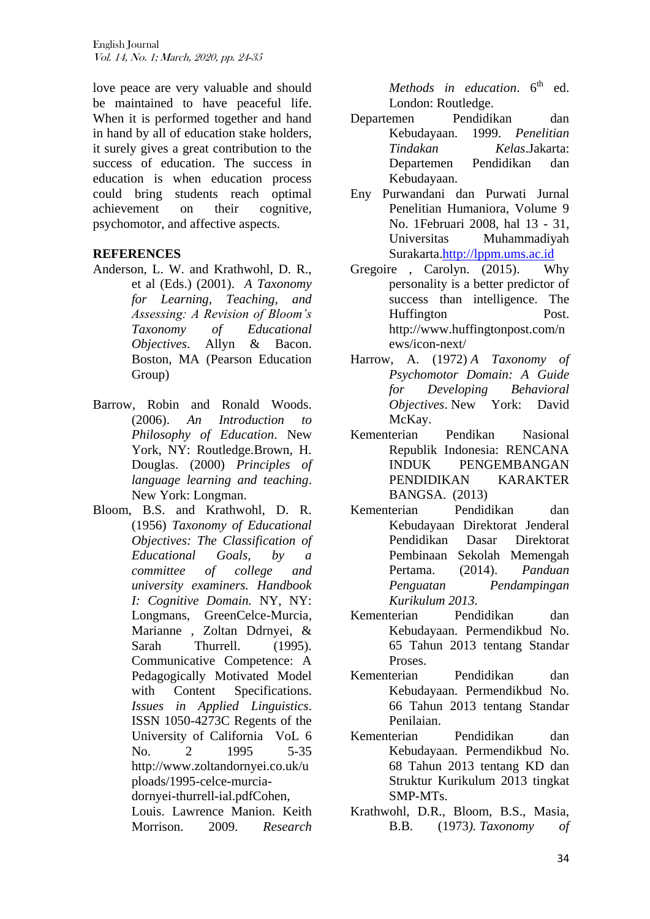love peace are very valuable and should be maintained to have peaceful life. When it is performed together and hand in hand by all of education stake holders, it surely gives a great contribution to the success of education. The success in education is when education process could bring students reach optimal achievement on their cognitive, psychomotor, and affective aspects.

### **REFERENCES**

- Anderson, L. W. and Krathwohl, D. R., et al (Eds.) (2001). *A Taxonomy for Learning, Teaching, and Assessing: A Revision of Bloom's Taxonomy of Educational Objectives*. Allyn & Bacon. Boston, MA (Pearson Education Group)
- Barrow, Robin and Ronald Woods. (2006). *An Introduction to Philosophy of Education*. New York, NY: Routledge.Brown, H. Douglas. (2000) *Principles of language learning and teaching*. New York: Longman.
- Bloom, B.S. and Krathwohl, D. R. (1956) *Taxonomy of Educational Objectives: The Classification of Educational Goals, by a committee of college and university examiners. Handbook I: Cognitive Domain.* NY, NY: Longmans, GreenCelce-Murcia, Marianne , Zoltan Ddrnyei, & Sarah Thurrell. (1995). Communicative Competence: A Pedagogically Motivated Model with Content Specifications. *Issues in Applied Linguistics*. ISSN 1050-4273C Regents of the University of California VoL 6 No. 2 1995 5-35 http://www.zoltandornyei.co.uk/u ploads/1995-celce-murciadornyei-thurrell-ial.pdfCohen, Louis. Lawrence Manion. Keith Morrison. 2009. *Research*

*Methods in education.*  $6^{\text{th}}$  ed. London: Routledge.

- Departemen Pendidikan dan Kebudayaan. 1999. *Penelitian Tindakan Kelas*.Jakarta: Departemen Pendidikan dan Kebudayaan.
- Eny Purwandani dan Purwati Jurnal Penelitian Humaniora, Volume 9 No. 1Februari 2008, hal 13 - 31, Universitas Muhammadiyah Surakarta[.http://lppm.ums.ac.id](http://lppm.ums.ac.id/)
- Gregoire , Carolyn. (2015). Why personality is a better predictor of success than intelligence. The Huffington Post. http://www.huffingtonpost.com/n ews/icon-next/
- Harrow, A. (1972) *A Taxonomy of Psychomotor Domain: A Guide for Developing Behavioral Objectives*. New York: David McKay.
- Kementerian Pendikan Nasional Republik Indonesia: RENCANA INDUK PENGEMBANGAN PENDIDIKAN KARAKTER BANGSA. (2013)
- Kementerian Pendidikan dan Kebudayaan Direktorat Jenderal Pendidikan Dasar Direktorat Pembinaan Sekolah Memengah Pertama. (2014). *Panduan Penguatan Pendampingan Kurikulum 2013.*
- Kementerian Pendidikan dan Kebudayaan. Permendikbud No. 65 Tahun 2013 tentang Standar Proses.
- Kementerian Pendidikan dan Kebudayaan. Permendikbud No. 66 Tahun 2013 tentang Standar Penilaian.
- Kementerian Pendidikan dan Kebudayaan. Permendikbud No. 68 Tahun 2013 tentang KD dan Struktur Kurikulum 2013 tingkat SMP-MTs.
- Krathwohl, D.R., Bloom, B.S., Masia, B.B. (1973*). Taxonomy of*